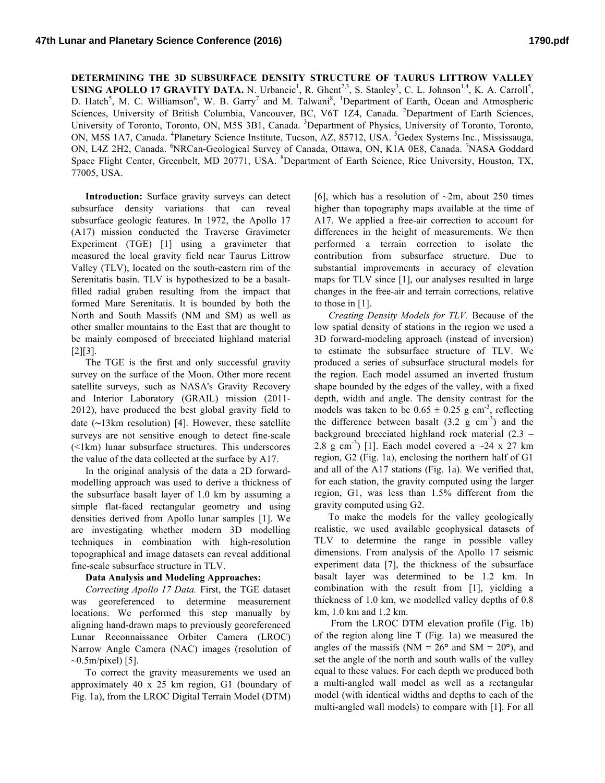**DETERMINING THE 3D SUBSURFACE DENSITY STRUCTURE OF TAURUS LITTROW VALLEY USING APOLLO 17 GRAVITY DATA.** N. Urbancic<sup>1</sup>, R. Ghent<sup>2,3</sup>, S. Stanley<sup>3</sup>, C. L. Johnson<sup>1,4</sup>, K. A. Carroll<sup>5</sup>, D. Hatch<sup>5</sup>, M. C. Williamson<sup>6</sup>, W. B. Garry<sup>7</sup> and M. Talwani<sup>8</sup>, <sup>1</sup>Department of Earth, Ocean and Atmospheric Sciences, University of British Columbia, Vancouver, BC, V6T 1Z4, Canada. <sup>2</sup>Department of Earth Sciences, University of Toronto, Toronto, ON, M5S 3B1, Canada. <sup>3</sup>Department of Physics, University of Toronto, Toronto, ON, M5S 1A7, Canada. <sup>4</sup>Planetary Science Institute, Tucson, AZ, 85712, USA. <sup>5</sup>Gedex Systems Inc., Mississauga, ON, L4Z 2H2, Canada. <sup>6</sup>NRCan-Geological Survey of Canada, Ottawa, ON, K1A 0E8, Canada. <sup>7</sup>NASA Goddard Space Flight Center, Greenbelt, MD 20771, USA. <sup>8</sup>Department of Earth Science, Rice University, Houston, TX, 77005, USA.

**Introduction:** Surface gravity surveys can detect subsurface density variations that can reveal subsurface geologic features. In 1972, the Apollo 17 (A17) mission conducted the Traverse Gravimeter Experiment (TGE) [1] using a gravimeter that measured the local gravity field near Taurus Littrow Valley (TLV), located on the south-eastern rim of the Serenitatis basin. TLV is hypothesized to be a basaltfilled radial graben resulting from the impact that formed Mare Serenitatis. It is bounded by both the North and South Massifs (NM and SM) as well as other smaller mountains to the East that are thought to be mainly composed of brecciated highland material [2][3].

The TGE is the first and only successful gravity survey on the surface of the Moon. Other more recent satellite surveys, such as NASA's Gravity Recovery and Interior Laboratory (GRAIL) mission (2011- 2012), have produced the best global gravity field to date (∼13km resolution) [4]. However, these satellite surveys are not sensitive enough to detect fine-scale (<1km) lunar subsurface structures. This underscores the value of the data collected at the surface by A17.

In the original analysis of the data a 2D forwardmodelling approach was used to derive a thickness of the subsurface basalt layer of 1.0 km by assuming a simple flat-faced rectangular geometry and using densities derived from Apollo lunar samples [1]. We are investigating whether modern 3D modelling techniques in combination with high-resolution topographical and image datasets can reveal additional fine-scale subsurface structure in TLV.

## **Data Analysis and Modeling Approaches:**

*Correcting Apollo 17 Data.* First, the TGE dataset was georeferenced to determine measurement locations. We performed this step manually by aligning hand-drawn maps to previously georeferenced Lunar Reconnaissance Orbiter Camera (LROC) Narrow Angle Camera (NAC) images (resolution of  $\sim 0.5$ m/pixel) [5].

To correct the gravity measurements we used an approximately 40 x 25 km region, G1 (boundary of Fig. 1a), from the LROC Digital Terrain Model (DTM)

[6], which has a resolution of  $\sim$ 2m, about 250 times higher than topography maps available at the time of A17. We applied a free-air correction to account for differences in the height of measurements. We then performed a terrain correction to isolate the contribution from subsurface structure. Due to substantial improvements in accuracy of elevation maps for TLV since [1], our analyses resulted in large changes in the free-air and terrain corrections, relative to those in [1].

*Creating Density Models for TLV.* Because of the low spatial density of stations in the region we used a 3D forward-modeling approach (instead of inversion) to estimate the subsurface structure of TLV. We produced a series of subsurface structural models for the region. Each model assumed an inverted frustum shape bounded by the edges of the valley, with a fixed depth, width and angle. The density contrast for the models was taken to be  $0.65 \pm 0.25$  g cm<sup>-3</sup>, reflecting the difference between basalt  $(3.2 \text{ g cm}^{-3})$  and the background brecciated highland rock material (2.3 – 2.8 g cm<sup>-3</sup>) [1]. Each model covered a  $\sim$ 24 x 27 km region, G2 (Fig. 1a), enclosing the northern half of G1 and all of the A17 stations (Fig. 1a). We verified that, for each station, the gravity computed using the larger region, G1, was less than 1.5% different from the gravity computed using G2.

To make the models for the valley geologically realistic, we used available geophysical datasets of TLV to determine the range in possible valley dimensions. From analysis of the Apollo 17 seismic experiment data [7], the thickness of the subsurface basalt layer was determined to be 1.2 km. In combination with the result from [1], yielding a thickness of 1.0 km, we modelled valley depths of 0.8 km, 1.0 km and 1.2 km.

From the LROC DTM elevation profile (Fig. 1b) of the region along line T (Fig. 1a) we measured the angles of the massifs ( $NM = 26$ <sup>o</sup> and  $SM = 20$ <sup>o</sup>), and set the angle of the north and south walls of the valley equal to these values. For each depth we produced both a multi-angled wall model as well as a rectangular model (with identical widths and depths to each of the multi-angled wall models) to compare with [1]. For all